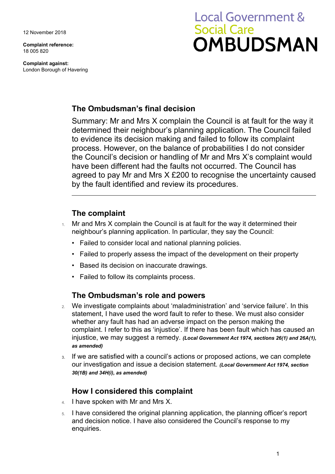12 November 2018

**Complaint reference:**  18 005 820

**Complaint against:**  London Borough of Havering

# **Local Government & Social Care OMBUDSMAN**

## **The Ombudsman's final decision**

Summary: Mr and Mrs X complain the Council is at fault for the way it determined their neighbour's planning application. The Council failed to evidence its decision making and failed to follow its complaint process. However, on the balance of probabilities I do not consider the Council's decision or handling of Mr and Mrs X's complaint would have been different had the faults not occurred. The Council has agreed to pay Mr and Mrs X £200 to recognise the uncertainty caused by the fault identified and review its procedures.

## **The complaint**

- $1.$  Mr and Mrs X complain the Council is at fault for the way it determined their neighbour's planning application. In particular, they say the Council:
	- Failed to consider local and national planning policies.
	- Failed to properly assess the impact of the development on their property
	- Based its decision on inaccurate drawings.
	- Failed to follow its complaints process.

## **The Ombudsman's role and powers**

- 2. We investigate complaints about 'maladministration' and 'service failure'. In this statement, I have used the word fault to refer to these. We must also consider whether any fault has had an adverse impact on the person making the complaint. I refer to this as 'injustice'. If there has been fault which has caused an injustice, we may suggest a remedy. *(Local Government Act 1974, sections 26(1) and 26A(1), as amended)*
- our investigation and issue a decision statement. *(Local Government Act 1974, section*  **3.** If we are satisfied with a council's actions or proposed actions, we can complete *30(1B) and 34H(i), as amended)*

## **How I considered this complaint**

- 4. I have spoken with Mr and Mrs X.
- 5. I have considered the original planning application, the planning officer's report and decision notice. I have also considered the Council's response to my enquiries.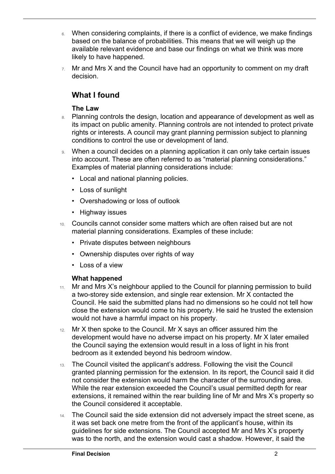- $6.$  When considering complaints, if there is a conflict of evidence, we make findings based on the balance of probabilities. This means that we will weigh up the available relevant evidence and base our findings on what we think was more likely to have happened.
- $7.$  Mr and Mrs X and the Council have had an opportunity to comment on my draft decision.

## **What I found**

#### **The Law**

 $\overline{a}$ 

- 8. Planning controls the design, location and appearance of development as well as its impact on public amenity. Planning controls are not intended to protect private rights or interests. A council may grant planning permission subject to planning conditions to control the use or development of land.
- 9. When a council decides on a planning application it can only take certain issues into account. These are often referred to as "material planning considerations." Examples of material planning considerations include:
	- Local and national planning policies.
	- Loss of sunlight
	- Overshadowing or loss of outlook
	- Highway issues
- 10. Councils cannot consider some matters which are often raised but are not material planning considerations. Examples of these include:
	- Private disputes between neighbours
	- Ownership disputes over rights of way
	- Loss of a view

#### **What happened**

- a two-storey side extension, and single rear extension. Mr X contacted the 11. Mr and Mrs X's neighbour applied to the Council for planning permission to build Council. He said the submitted plans had no dimensions so he could not tell how close the extension would come to his property. He said he trusted the extension would not have a harmful impact on his property.
- the Council saying the extension would result in a loss of light in his front 12. Mr X then spoke to the Council. Mr X says an officer assured him the development would have no adverse impact on his property. Mr X later emailed bedroom as it extended beyond his bedroom window.
- 13. The Council visited the applicant's address. Following the visit the Council granted planning permission for the extension. In its report, the Council said it did not consider the extension would harm the character of the surrounding area. While the rear extension exceeded the Council's usual permitted depth for rear extensions, it remained within the rear building line of Mr and Mrs X's property so the Council considered it acceptable.
- was to the north, and the extension would cast a shadow. However, it said the 14. The Council said the side extension did not adversely impact the street scene, as it was set back one metre from the front of the applicant's house, within its guidelines for side extensions. The Council accepted Mr and Mrs X's property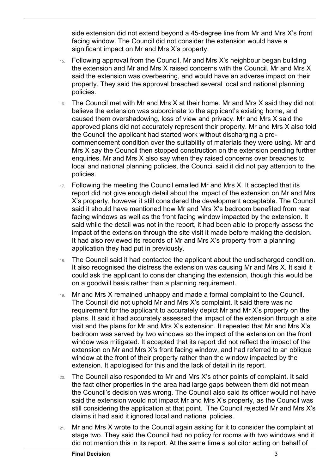side extension did not extend beyond a 45-degree line from Mr and Mrs X's front facing window. The Council did not consider the extension would have a significant impact on Mr and Mrs X's property.

- property. They said the approval breached several local and national planning 15. Following approval from the Council, Mr and Mrs X's neighbour began building the extension and Mr and Mrs X raised concerns with the Council. Mr and Mrs X said the extension was overbearing, and would have an adverse impact on their policies.
- the Council the applicant had started work without discharging a pre- enquiries. Mr and Mrs X also say when they raised concerns over breaches to 16. The Council met with Mr and Mrs X at their home. Mr and Mrs X said they did not believe the extension was subordinate to the applicant's existing home, and caused them overshadowing, loss of view and privacy. Mr and Mrs X said the approved plans did not accurately represent their property. Mr and Mrs X also told commencement condition over the suitability of materials they were using. Mr and Mrs X say the Council then stopped construction on the extension pending further local and national planning policies, the Council said it did not pay attention to the policies.
- said while the detail was not in the report, it had been able to properly assess the 17. Following the meeting the Council emailed Mr and Mrs X. It accepted that its report did not give enough detail about the impact of the extension on Mr and Mrs X's property, however it still considered the development acceptable. The Council said it should have mentioned how Mr and Mrs X's bedroom benefited from rear facing windows as well as the front facing window impacted by the extension. It impact of the extension through the site visit it made before making the decision. It had also reviewed its records of Mr and Mrs X's property from a planning application they had put in previously.
- 18. The Council said it had contacted the applicant about the undischarged condition. It also recognised the distress the extension was causing Mr and Mrs X. It said it could ask the applicant to consider changing the extension, though this would be on a goodwill basis rather than a planning requirement.
- 19. Mr and Mrs X remained unhappy and made a formal complaint to the Council. The Council did not uphold Mr and Mrs X's complaint. It said there was no requirement for the applicant to accurately depict Mr and Mr X's property on the plans. It said it had accurately assessed the impact of the extension through a site visit and the plans for Mr and Mrs X's extension. It repeated that Mr and Mrs X's bedroom was served by two windows so the impact of the extension on the front window was mitigated. It accepted that its report did not reflect the impact of the extension on Mr and Mrs X's front facing window, and had referred to an oblique window at the front of their property rather than the window impacted by the extension. It apologised for this and the lack of detail in its report.
- claims it had said it ignored local and national policies. 20. The Council also responded to Mr and Mrs X's other points of complaint. It said the fact other properties in the area had large gaps between them did not mean the Council's decision was wrong. The Council also said its officer would not have said the extension would not impact Mr and Mrs X's property, as the Council was still considering the application at that point. The Council rejected Mr and Mrs X's
- 21. Mr and Mrs X wrote to the Council again asking for it to consider the complaint at stage two. They said the Council had no policy for rooms with two windows and it did not mention this in its report. At the same time a solicitor acting on behalf of

 $\overline{a}$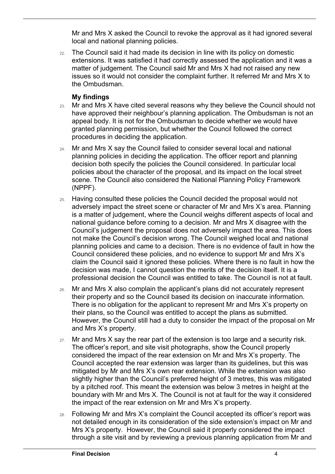Mr and Mrs X asked the Council to revoke the approval as it had ignored several local and national planning policies.

 extensions. It was satisfied it had correctly assessed the application and it was a issues so it would not consider the complaint further. It referred Mr and Mrs X to 22. The Council said it had made its decision in line with its policy on domestic matter of judgement. The Council said Mr and Mrs X had not raised any new the Ombudsman.

#### **My findings**

 $\overline{a}$ 

- 23. Mr and Mrs X have cited several reasons why they believe the Council should not have approved their neighbour's planning application. The Ombudsman is not an appeal body. It is not for the Ombudsman to decide whether we would have granted planning permission, but whether the Council followed the correct procedures in deciding the application.
- planning policies in deciding the application. The officer report and planning 24. Mr and Mrs X say the Council failed to consider several local and national decision both specify the policies the Council considered. In particular local policies about the character of the proposal, and its impact on the local street scene. The Council also considered the National Planning Policy Framework (NPPF).
- national guidance before coming to a decision. Mr and Mrs X disagree with the claim the Council said it ignored these policies. Where there is no fault in how the 25. Having consulted these policies the Council decided the proposal would not adversely impact the street scene or character of Mr and Mrs X's area. Planning is a matter of judgement, where the Council weighs different aspects of local and Council's judgement the proposal does not adversely impact the area. This does not make the Council's decision wrong. The Council weighed local and national planning policies and came to a decision. There is no evidence of fault in how the Council considered these policies, and no evidence to support Mr and Mrs X's decision was made, I cannot question the merits of the decision itself. It is a professional decision the Council was entitled to take. The Council is not at fault.
- their plans, so the Council was entitled to accept the plans as submitted. 26. Mr and Mrs X also complain the applicant's plans did not accurately represent their property and so the Council based its decision on inaccurate information. There is no obligation for the applicant to represent Mr and Mrs X's property on However, the Council still had a duty to consider the impact of the proposal on Mr and Mrs X's property.
- The officer's report, and site visit photographs, show the Council properly  $27.$  Mr and Mrs X say the rear part of the extension is too large and a security risk. considered the impact of the rear extension on Mr and Mrs X's property. The Council accepted the rear extension was larger than its guidelines, but this was mitigated by Mr and Mrs X's own rear extension. While the extension was also slightly higher than the Council's preferred height of 3 metres, this was mitigated by a pitched roof. This meant the extension was below 3 metres in height at the boundary with Mr and Mrs X. The Council is not at fault for the way it considered the impact of the rear extension on Mr and Mrs X's property.
- through a site visit and by reviewing a previous planning application from Mr and 28. Following Mr and Mrs X's complaint the Council accepted its officer's report was not detailed enough in its consideration of the side extension's impact on Mr and Mrs X's property. However, the Council said it properly considered the impact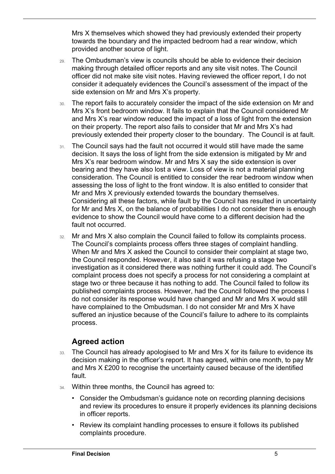towards the boundary and the impacted bedroom had a rear window, which Mrs X themselves which showed they had previously extended their property provided another source of light.

- 29. The Ombudsman's view is councils should be able to evidence their decision making through detailed officer reports and any site visit notes. The Council officer did not make site visit notes. Having reviewed the officer report, I do not consider it adequately evidences the Council's assessment of the impact of the side extension on Mr and Mrs X's property.
- 30. The report fails to accurately consider the impact of the side extension on Mr and Mrs X's front bedroom window. It fails to explain that the Council considered Mr and Mrs X's rear window reduced the impact of a loss of light from the extension on their property. The report also fails to consider that Mr and Mrs X's had previously extended their property closer to the boundary. The Council is at fault.
- 31. The Council says had the fault not occurred it would still have made the same decision. It says the loss of light from the side extension is mitigated by Mr and Mrs X's rear bedroom window. Mr and Mrs X say the side extension is over bearing and they have also lost a view. Loss of view is not a material planning consideration. The Council is entitled to consider the rear bedroom window when assessing the loss of light to the front window. It is also entitled to consider that Mr and Mrs X previously extended towards the boundary themselves. Considering all these factors, while fault by the Council has resulted in uncertainty for Mr and Mrs X, on the balance of probabilities I do not consider there is enough evidence to show the Council would have come to a different decision had the fault not occurred.
- complaint process does not specify a process for not considering a complaint at suffered an injustice because of the Council's failure to adhere to its complaints 32. Mr and Mrs X also complain the Council failed to follow its complaints process. The Council's complaints process offers three stages of complaint handling. When Mr and Mrs X asked the Council to consider their complaint at stage two, the Council responded. However, it also said it was refusing a stage two investigation as it considered there was nothing further it could add. The Council's stage two or three because it has nothing to add. The Council failed to follow its published complaints process. However, had the Council followed the process I do not consider its response would have changed and Mr and Mrs X would still have complained to the Ombudsman. I do not consider Mr and Mrs X have process.

### **Agreed action**

 $\overline{a}$ 

- decision making in the officer's report. It has agreed, within one month, to pay Mr 33. The Council has already apologised to Mr and Mrs X for its failure to evidence its and Mrs X £200 to recognise the uncertainty caused because of the identified fault.
- 34. Within three months, the Council has agreed to:
	- Consider the Ombudsman's guidance note on recording planning decisions and review its procedures to ensure it properly evidences its planning decisions in officer reports.
	- Review its complaint handling processes to ensure it follows its published complaints procedure.